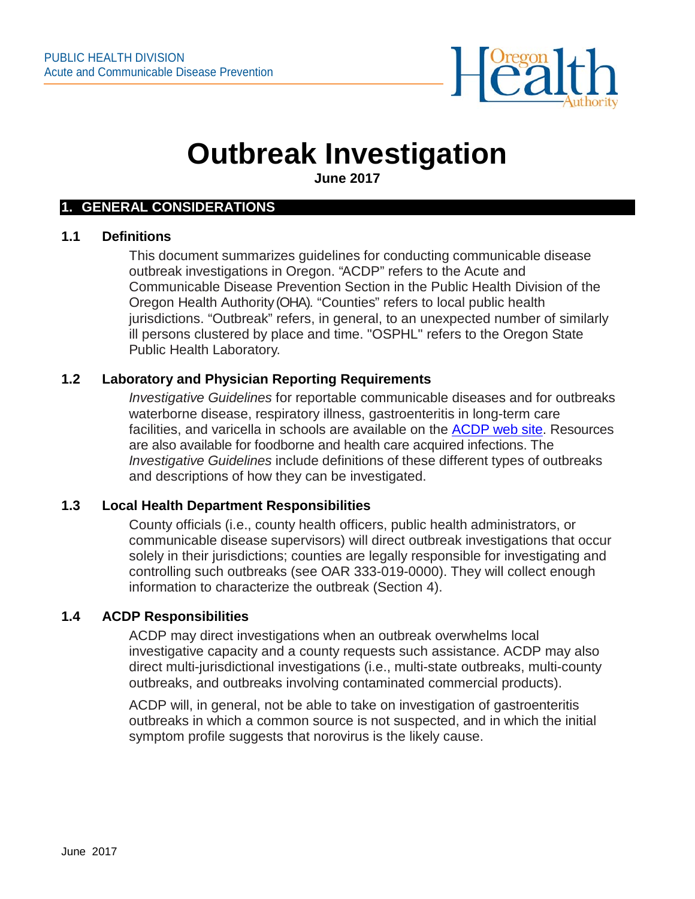

# **Outbreak Investigation**

**June 2017**

#### **1. GENERAL CONSIDERATIONS**

#### **1.1 Definitions**

This document summarizes guidelines for conducting communicable disease outbreak investigations in Oregon. "ACDP" refers to the Acute and Communicable Disease Prevention Section in the Public Health Division of the Oregon Health Authority (OHA). "Counties" refers to local public health jurisdictions. "Outbreak" refers, in general, to an unexpected number of similarly ill persons clustered by place and time. "OSPHL" refers to the Oregon State Public Health Laboratory.

# **1.2 Laboratory and Physician Reporting Requirements**

*Investigative Guidelines* for reportable communicable diseases and for outbreaks waterborne disease, respiratory illness, gastroenteritis in long-term care facilities, and varicella in schools are available on the [ACDP](https://public.health.oregon.gov/DiseasesConditions/CommunicableDisease/Pages/index.aspx) web site. Resources are also available for foodborne and health care acquired infections. The *Investigative Guidelines* include definitions of these different types of outbreaks and descriptions of how they can be investigated.

## **1.3 Local Health Department Responsibilities**

County officials (i.e., county health officers, public health administrators, or communicable disease supervisors) will direct outbreak investigations that occur solely in their jurisdictions; counties are legally responsible for investigating and controlling such outbreaks (see OAR 333-019-0000). They will collect enough information to characterize the outbreak (Section 4).

## **1.4 ACDP Responsibilities**

ACDP may direct investigations when an outbreak overwhelms local investigative capacity and a county requests such assistance. ACDP may also direct multi-jurisdictional investigations (i.e., multi-state outbreaks, multi-county outbreaks, and outbreaks involving contaminated commercial products).

ACDP will, in general, not be able to take on investigation of gastroenteritis outbreaks in which a common source is not suspected, and in which the initial symptom profile suggests that norovirus is the likely cause.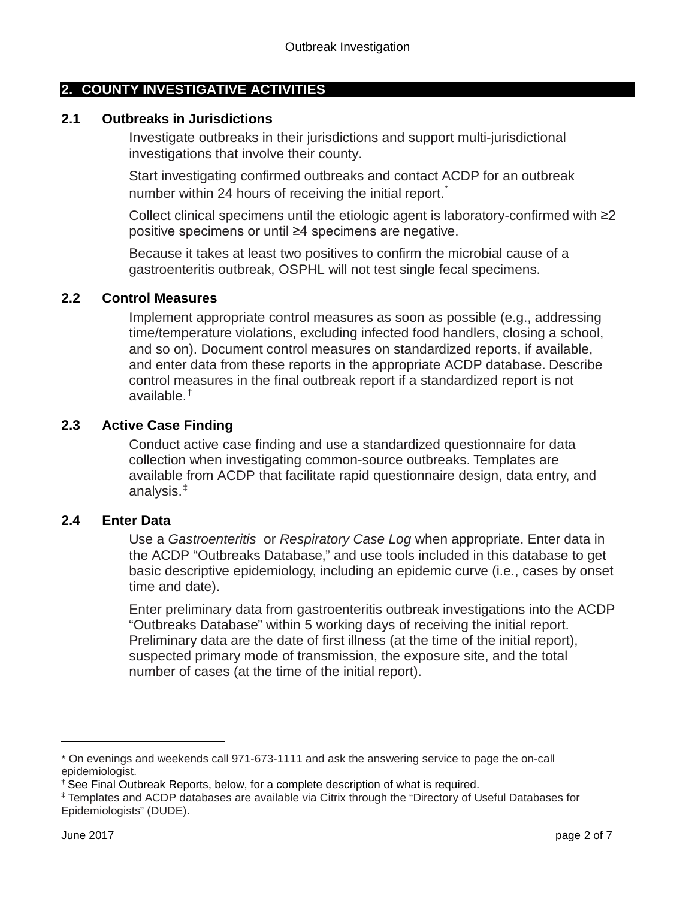# **2. COUNTY INVESTIGATIVE ACTIVITIES**

## **2.1 Outbreaks in Jurisdictions**

Investigate outbreaks in their jurisdictions and support multi-jurisdictional investigations that involve their county.

Start investigating confirmed outbreaks and contact ACDP for an outbreak number within 24 hours of receiving the initial report.

Collect clinical specimens until the etiologic agent is laboratory-confirmed with ≥2 positive specimens or until ≥4 specimens are negative.

Because it takes at least two positives to confirm the microbial cause of a gastroenteritis outbreak, OSPHL will not test single fecal specimens.

## **2.2 Control Measures**

Implement appropriate control measures as soon as possible (e.g., addressing time/temperature violations, excluding infected food handlers, closing a school, and so on). Document control measures on standardized reports, if available, and enter data from these reports in the appropriate ACDP database. Describe control measures in the final outbreak report if a standardized report is not available.[†](#page-1-1)

# **2.3 Active Case Finding**

Conduct active case finding and use a standardized questionnaire for data collection when investigating common-source outbreaks. Templates are available from ACDP that facilitate rapid questionnaire design, data entry, and analysis. [‡](#page-1-2)

# **2.4 Enter Data**

Use a *Gastroenteritis* or *Respiratory Case Log* when appropriate. Enter data in the ACDP "Outbreaks Database," and use tools included in this database to get basic descriptive epidemiology, including an epidemic curve (i.e., cases by onset time and date).

Enter preliminary data from gastroenteritis outbreak investigations into the ACDP "Outbreaks Database" within 5 working days of receiving the initial report. Preliminary data are the date of first illness (at the time of the initial report), suspected primary mode of transmission, the exposure site, and the total number of cases (at the time of the initial report).

i<br>I

<span id="page-1-0"></span><sup>\*</sup> On evenings and weekends call 971-673-1111 and ask the answering service to page the on-call epidemiologist.

See Final Outbreak Reports, below, for a complete description of what is required.

<span id="page-1-2"></span><span id="page-1-1"></span><sup>‡</sup> Templates and ACDP databases are available via Citrix through the "Directory of Useful Databases for Epidemiologists" (DUDE).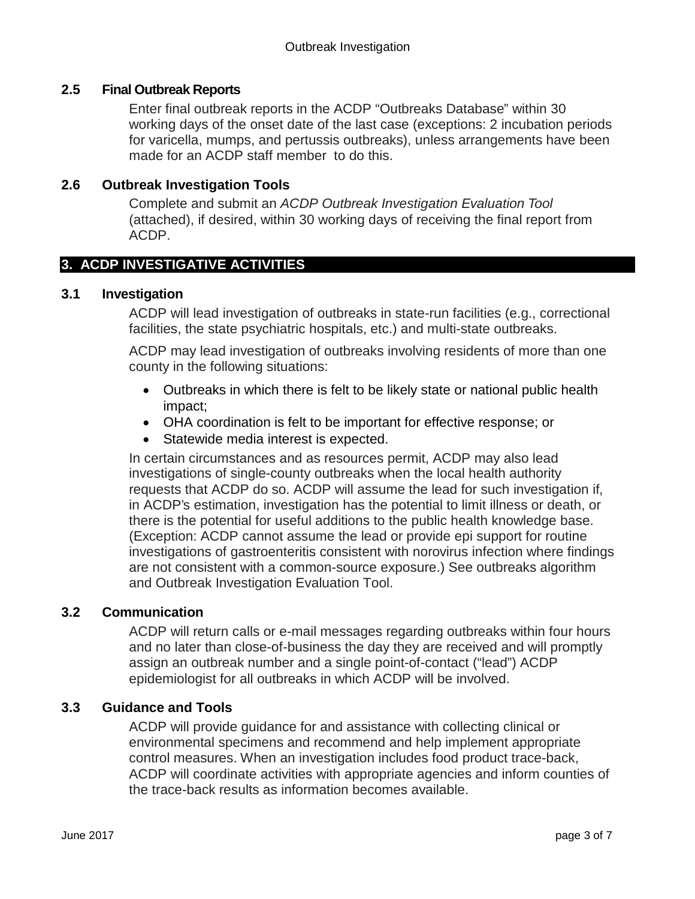# **2.5 Final Outbreak Reports**

Enter final outbreak reports in the ACDP "Outbreaks Database" within 30 working days of the onset date of the last case (exceptions: 2 incubation periods for varicella, mumps, and pertussis outbreaks), unless arrangements have been made for an ACDP staff member to do this.

# **2.6 Outbreak Investigation Tools**

Complete and submit an *ACDP Outbreak Investigation Evaluation Tool* (attached), if desired, within 30 working days of receiving the final report from ACDP.

# **3. ACDP INVESTIGATIVE ACTIVITIES**

#### **3.1 Investigation**

ACDP will lead investigation of outbreaks in state-run facilities (e.g., correctional facilities, the state psychiatric hospitals, etc.) and multi-state outbreaks.

ACDP may lead investigation of outbreaks involving residents of more than one county in the following situations:

- Outbreaks in which there is felt to be likely state or national public health impact;
- OHA coordination is felt to be important for effective response; or
- Statewide media interest is expected.

In certain circumstances and as resources permit, ACDP may also lead investigations of single-county outbreaks when the local health authority requests that ACDP do so. ACDP will assume the lead for such investigation if, in ACDP's estimation, investigation has the potential to limit illness or death, or there is the potential for useful additions to the public health knowledge base. (Exception: ACDP cannot assume the lead or provide epi support for routine investigations of gastroenteritis consistent with norovirus infection where findings are not consistent with a common-source exposure.) See outbreaks algorithm and Outbreak Investigation Evaluation Tool.

## **3.2 Communication**

ACDP will return calls or e-mail messages regarding outbreaks within four hours and no later than close-of-business the day they are received and will promptly assign an outbreak number and a single point-of-contact ("lead") ACDP epidemiologist for all outbreaks in which ACDP will be involved.

# **3.3 Guidance and Tools**

ACDP will provide guidance for and assistance with collecting clinical or environmental specimens and recommend and help implement appropriate control measures. When an investigation includes food product trace-back, ACDP will coordinate activities with appropriate agencies and inform counties of the trace-back results as information becomes available.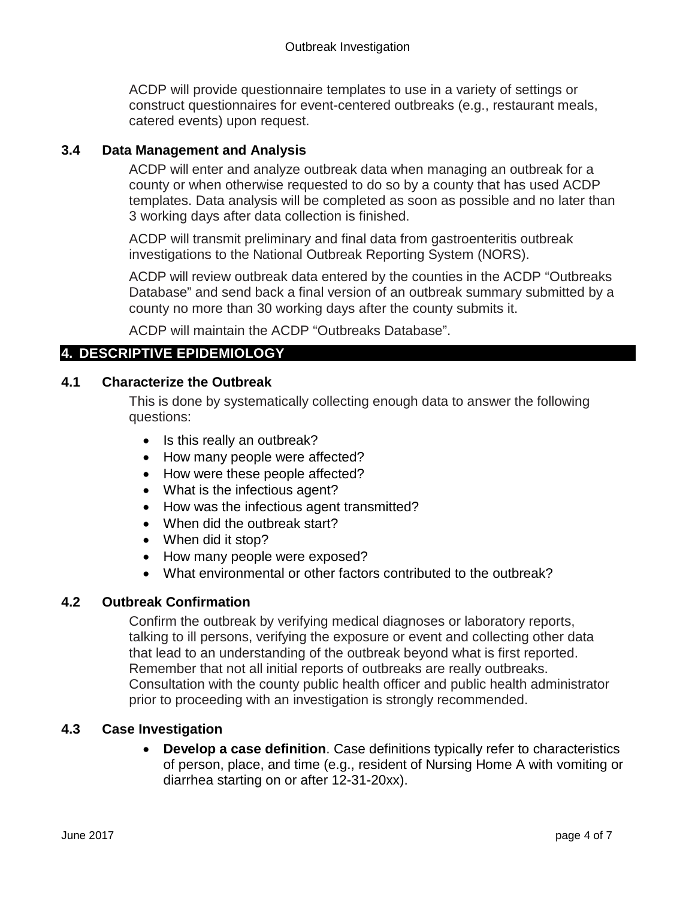ACDP will provide questionnaire templates to use in a variety of settings or construct questionnaires for event-centered outbreaks (e.g., restaurant meals, catered events) upon request.

# **3.4 Data Management and Analysis**

ACDP will enter and analyze outbreak data when managing an outbreak for a county or when otherwise requested to do so by a county that has used ACDP templates. Data analysis will be completed as soon as possible and no later than 3 working days after data collection is finished.

ACDP will transmit preliminary and final data from gastroenteritis outbreak investigations to the National Outbreak Reporting System (NORS).

ACDP will review outbreak data entered by the counties in the ACDP "Outbreaks Database" and send back a final version of an outbreak summary submitted by a county no more than 30 working days after the county submits it.

ACDP will maintain the ACDP "Outbreaks Database".

# **4. DESCRIPTIVE EPIDEMIOLOGY**

# **4.1 Characterize the Outbreak**

This is done by systematically collecting enough data to answer the following questions:

- Is this really an outbreak?
- How many people were affected?
- How were these people affected?
- What is the infectious agent?
- How was the infectious agent transmitted?
- When did the outbreak start?
- When did it stop?
- How many people were exposed?
- What environmental or other factors contributed to the outbreak?

## **4.2 Outbreak Confirmation**

Confirm the outbreak by verifying medical diagnoses or laboratory reports, talking to ill persons, verifying the exposure or event and collecting other data that lead to an understanding of the outbreak beyond what is first reported. Remember that not all initial reports of outbreaks are really outbreaks. Consultation with the county public health officer and public health administrator prior to proceeding with an investigation is strongly recommended.

# **4.3 Case Investigation**

• **Develop a case definition**. Case definitions typically refer to characteristics of person, place, and time (e.g., resident of Nursing Home A with vomiting or diarrhea starting on or after 12-31-20xx).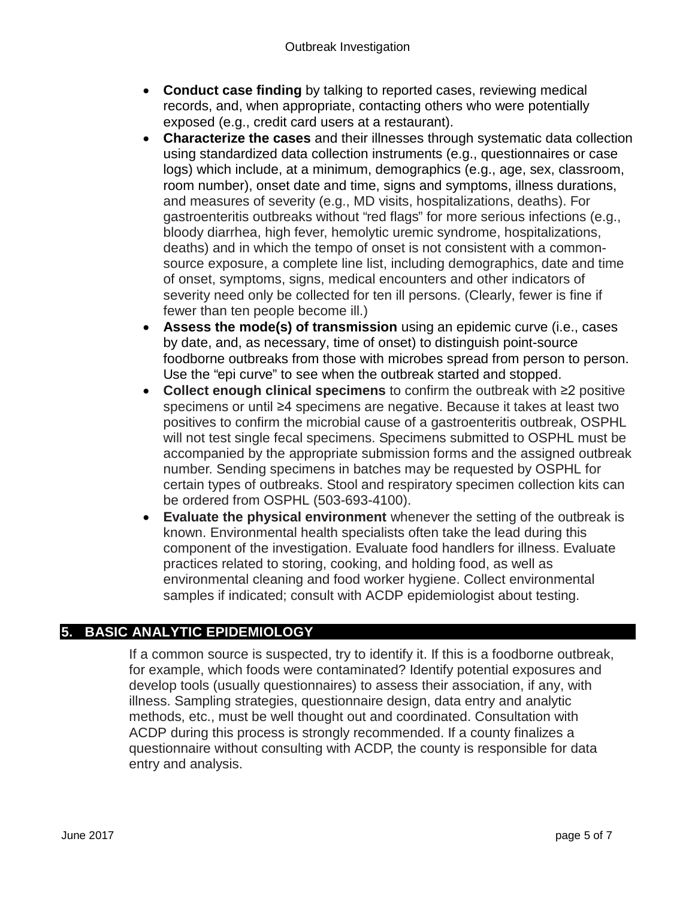- **Conduct case finding** by talking to reported cases, reviewing medical records, and, when appropriate, contacting others who were potentially exposed (e.g., credit card users at a restaurant).
- **Characterize the cases** and their illnesses through systematic data collection using standardized data collection instruments (e.g., questionnaires or case logs) which include, at a minimum, demographics (e.g., age, sex, classroom, room number), onset date and time, signs and symptoms, illness durations, and measures of severity (e.g., MD visits, hospitalizations, deaths). For gastroenteritis outbreaks without "red flags" for more serious infections (e.g., bloody diarrhea, high fever, hemolytic uremic syndrome, hospitalizations, deaths) and in which the tempo of onset is not consistent with a commonsource exposure, a complete line list, including demographics, date and time of onset, symptoms, signs, medical encounters and other indicators of severity need only be collected for ten ill persons. (Clearly, fewer is fine if fewer than ten people become ill.)
- **Assess the mode(s) of transmission** using an epidemic curve (i.e., cases by date, and, as necessary, time of onset) to distinguish point-source foodborne outbreaks from those with microbes spread from person to person. Use the "epi curve" to see when the outbreak started and stopped.
- **Collect enough clinical specimens** to confirm the outbreak with ≥2 positive specimens or until ≥4 specimens are negative. Because it takes at least two positives to confirm the microbial cause of a gastroenteritis outbreak, OSPHL will not test single fecal specimens. Specimens submitted to OSPHL must be accompanied by the appropriate submission forms and the assigned outbreak number. Sending specimens in batches may be requested by OSPHL for certain types of outbreaks. Stool and respiratory specimen collection kits can be ordered from OSPHL (503-693-4100).
- **Evaluate the physical environment** whenever the setting of the outbreak is known. Environmental health specialists often take the lead during this component of the investigation. Evaluate food handlers for illness. Evaluate practices related to storing, cooking, and holding food, as well as environmental cleaning and food worker hygiene. Collect environmental samples if indicated; consult with ACDP epidemiologist about testing.

# **5. BASIC ANALYTIC EPIDEMIOLOGY**

If a common source is suspected, try to identify it. If this is a foodborne outbreak, for example, which foods were contaminated? Identify potential exposures and develop tools (usually questionnaires) to assess their association, if any, with illness. Sampling strategies, questionnaire design, data entry and analytic methods, etc., must be well thought out and coordinated. Consultation with ACDP during this process is strongly recommended. If a county finalizes a questionnaire without consulting with ACDP, the county is responsible for data entry and analysis.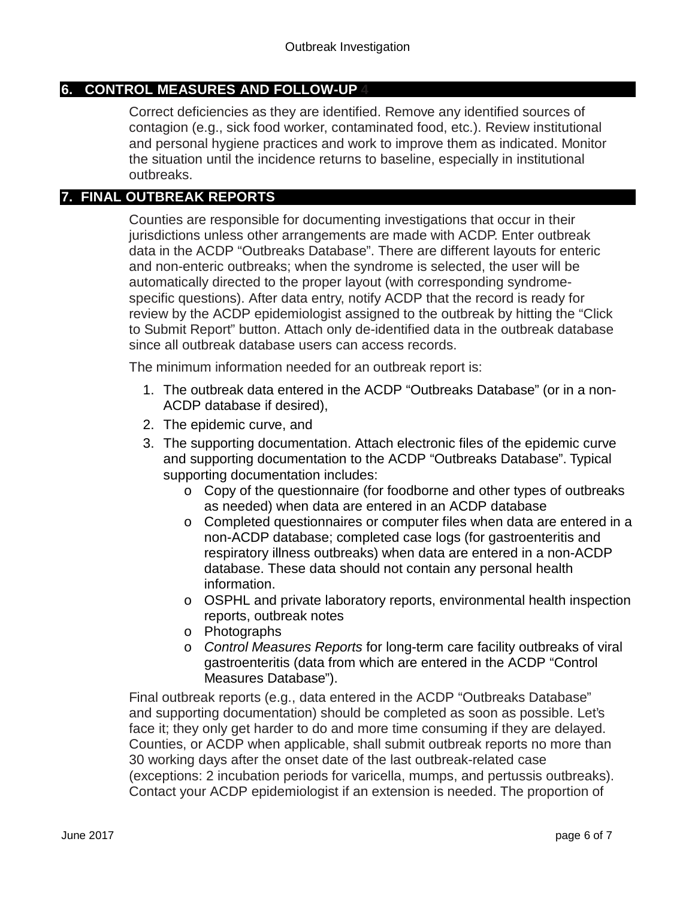# **6. CONTROL MEASURES AND FOLLOW-UP 4**

Correct deficiencies as they are identified. Remove any identified sources of contagion (e.g., sick food worker, contaminated food, etc.). Review institutional and personal hygiene practices and work to improve them as indicated. Monitor the situation until the incidence returns to baseline, especially in institutional outbreaks.

## **7. FINAL OUTBREAK REPORTS**

Counties are responsible for documenting investigations that occur in their jurisdictions unless other arrangements are made with ACDP. Enter outbreak data in the ACDP "Outbreaks Database". There are different layouts for enteric and non-enteric outbreaks; when the syndrome is selected, the user will be automatically directed to the proper layout (with corresponding syndromespecific questions). After data entry, notify ACDP that the record is ready for review by the ACDP epidemiologist assigned to the outbreak by hitting the "Click to Submit Report" button. Attach only de-identified data in the outbreak database since all outbreak database users can access records.

The minimum information needed for an outbreak report is:

- 1. The outbreak data entered in the ACDP "Outbreaks Database" (or in a non-ACDP database if desired),
- 2. The epidemic curve, and
- 3. The supporting documentation. Attach electronic files of the epidemic curve and supporting documentation to the ACDP "Outbreaks Database". Typical supporting documentation includes:
	- o Copy of the questionnaire (for foodborne and other types of outbreaks as needed) when data are entered in an ACDP database
	- o Completed questionnaires or computer files when data are entered in a non-ACDP database; completed case logs (for gastroenteritis and respiratory illness outbreaks) when data are entered in a non-ACDP database. These data should not contain any personal health information.
	- o OSPHL and private laboratory reports, environmental health inspection reports, outbreak notes
	- o Photographs
	- o *Control Measures Reports* for long-term care facility outbreaks of viral gastroenteritis (data from which are entered in the ACDP "Control Measures Database").

Final outbreak reports (e.g., data entered in the ACDP "Outbreaks Database" and supporting documentation) should be completed as soon as possible. Let's face it; they only get harder to do and more time consuming if they are delayed. Counties, or ACDP when applicable, shall submit outbreak reports no more than 30 working days after the onset date of the last outbreak-related case (exceptions: 2 incubation periods for varicella, mumps, and pertussis outbreaks). Contact your ACDP epidemiologist if an extension is needed. The proportion of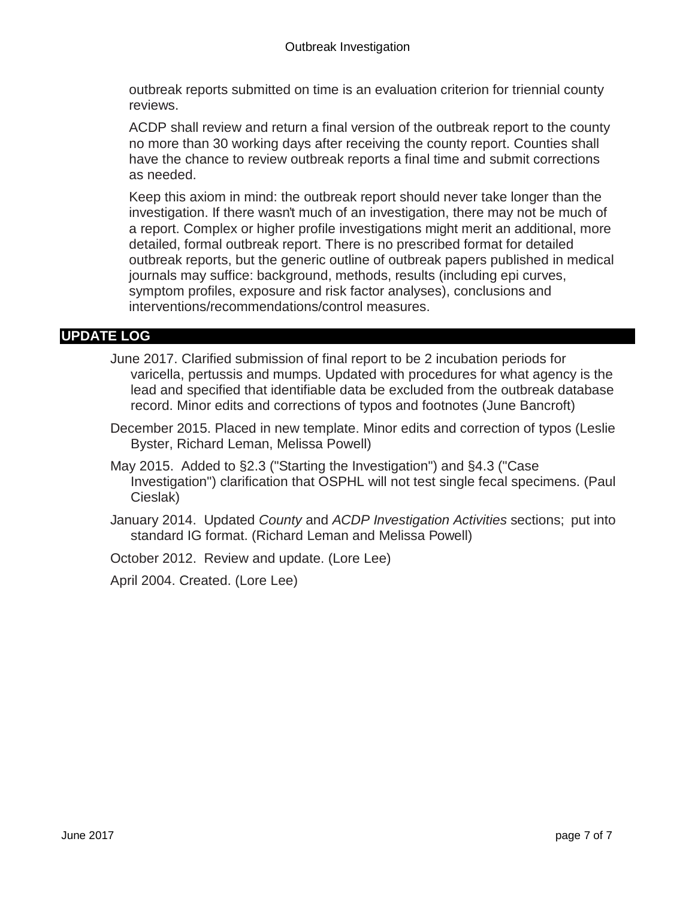outbreak reports submitted on time is an evaluation criterion for triennial county reviews.

ACDP shall review and return a final version of the outbreak report to the county no more than 30 working days after receiving the county report. Counties shall have the chance to review outbreak reports a final time and submit corrections as needed.

Keep this axiom in mind: the outbreak report should never take longer than the investigation. If there wasn't much of an investigation, there may not be much of a report. Complex or higher profile investigations might merit an additional, more detailed, formal outbreak report. There is no prescribed format for detailed outbreak reports, but the generic outline of outbreak papers published in medical journals may suffice: background, methods, results (including epi curves, symptom profiles, exposure and risk factor analyses), conclusions and interventions/recommendations/control measures.

# **UPDATE LOG**

- June 2017. Clarified submission of final report to be 2 incubation periods for varicella, pertussis and mumps. Updated with procedures for what agency is the lead and specified that identifiable data be excluded from the outbreak database record. Minor edits and corrections of typos and footnotes (June Bancroft)
- December 2015. Placed in new template. Minor edits and correction of typos (Leslie Byster, Richard Leman, Melissa Powell)
- May 2015. Added to §2.3 ("Starting the Investigation") and §4.3 ("Case Investigation") clarification that OSPHL will not test single fecal specimens. (Paul Cieslak)
- January 2014. Updated *County* and *ACDP Investigation Activities* sections; put into standard IG format. (Richard Leman and Melissa Powell)
- October 2012. Review and update. (Lore Lee)

April 2004. Created. (Lore Lee)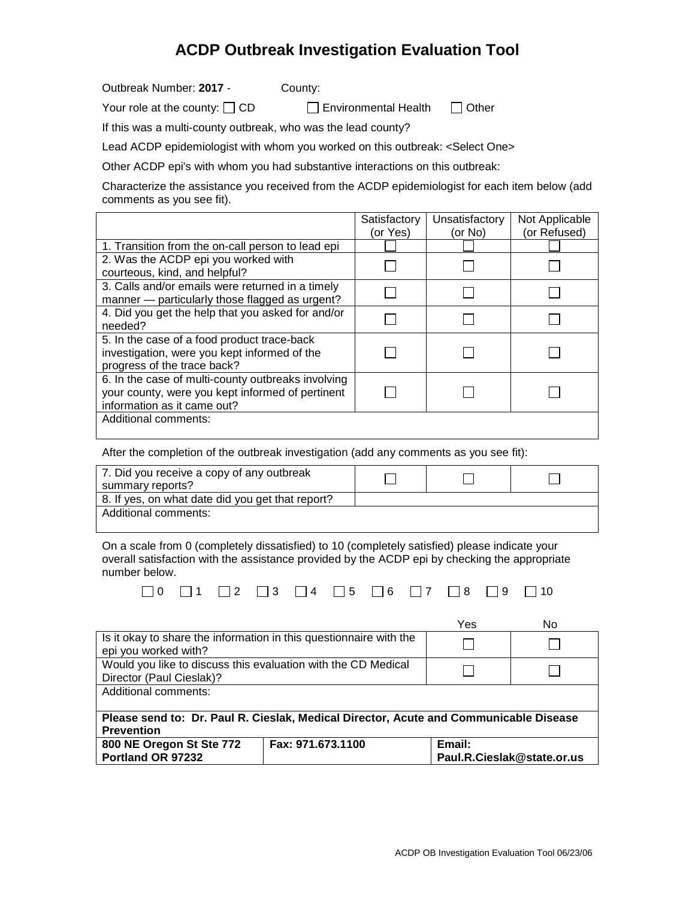# **ACDP Outbreak Investigation Evaluation Tool**

Outbreak Number: **2017** - County:

Your role at the county:  $\Box$  CD  $\Box$  Environmental Health  $\Box$  Other

If this was a multi-county outbreak, who was the lead county?

Lead ACDP epidemiologist with whom you worked on this outbreak: <Select One>

Other ACDP epi's with whom you had substantive interactions on this outbreak:

Characterize the assistance you received from the ACDP epidemiologist for each item below (add comments as you see fit).

|                                                    | Satisfactory | Unsatisfactory | Not Applicable |
|----------------------------------------------------|--------------|----------------|----------------|
|                                                    | (or Yes)     | (or No)        | (or Refused)   |
| 1. Transition from the on-call person to lead epi  |              |                |                |
| 2. Was the ACDP epi you worked with                |              |                |                |
| courteous, kind, and helpful?                      |              |                |                |
| 3. Calls and/or emails were returned in a timely   |              |                |                |
| manner — particularly those flagged as urgent?     |              |                |                |
| 4. Did you get the help that you asked for and/or  |              |                |                |
| needed?                                            |              |                |                |
| 5. In the case of a food product trace-back        |              |                |                |
| investigation, were you kept informed of the       |              |                |                |
| progress of the trace back?                        |              |                |                |
| 6. In the case of multi-county outbreaks involving |              |                |                |
| your county, were you kept informed of pertinent   |              |                |                |
| information as it came out?                        |              |                |                |
| Additional comments:                               |              |                |                |
|                                                    |              |                |                |

After the completion of the outbreak investigation (add any comments as you see fit):

| 7. Did you receive a copy of any outbreak<br>summary reports? |  |  |
|---------------------------------------------------------------|--|--|
| 8. If yes, on what date did you get that report?              |  |  |
| Additional comments:                                          |  |  |
|                                                               |  |  |

On a scale from 0 (completely dissatisfied) to 10 (completely satisfied) please indicate your overall satisfaction with the assistance provided by the ACDP epi by checking the appropriate number below.

 $\Box$ 0  $\Box$ 1  $\Box$ 2  $\Box$ 3  $\Box$ 4  $\Box$ 5  $\Box$ 6  $\Box$ 7  $\Box$ 8  $\Box$ 9  $\Box$ 10

|                                                                                                            |                   | Yes                                  | No. |  |  |
|------------------------------------------------------------------------------------------------------------|-------------------|--------------------------------------|-----|--|--|
| Is it okay to share the information in this questionnaire with the<br>epi you worked with?                 |                   |                                      |     |  |  |
| Would you like to discuss this evaluation with the CD Medical<br>Director (Paul Cieslak)?                  |                   |                                      |     |  |  |
| Additional comments:                                                                                       |                   |                                      |     |  |  |
| Please send to: Dr. Paul R. Cieslak, Medical Director, Acute and Communicable Disease<br><b>Prevention</b> |                   |                                      |     |  |  |
| 800 NE Oregon St Ste 772<br>Portland OR 97232                                                              | Fax: 971.673.1100 | Email:<br>Paul.R.Cieslak@state.or.us |     |  |  |